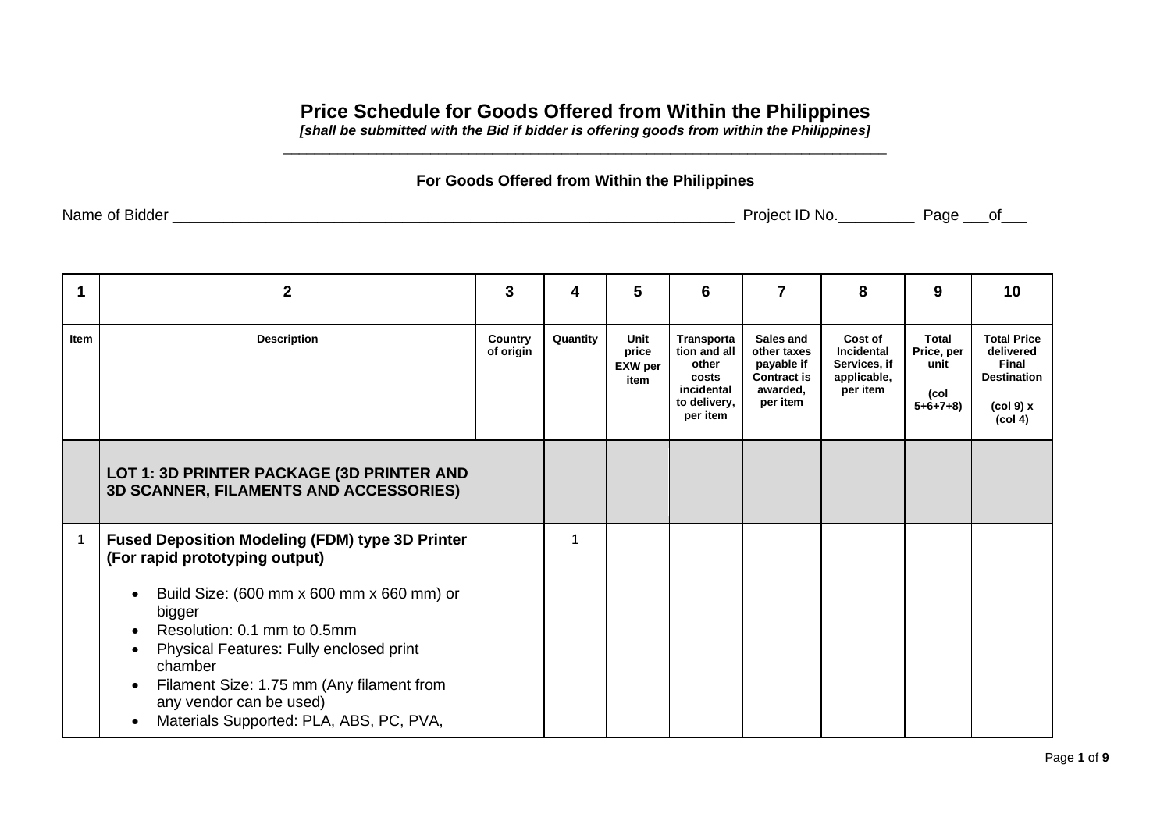## **Price Schedule for Goods Offered from Within the Philippines**

*[shall be submitted with the Bid if bidder is offering goods from within the Philippines]* \_\_\_\_\_\_\_\_\_\_\_\_\_\_\_\_\_\_\_\_\_\_\_\_\_\_\_\_\_\_\_\_\_\_\_\_\_\_\_\_\_\_\_\_\_\_\_\_\_\_\_\_\_\_\_\_\_\_\_\_\_\_\_\_\_\_\_\_\_\_\_\_\_\_\_\_\_\_

## **For Goods Offered from Within the Philippines**

| Name<br><b>Bidder</b><br>Οt | $\overline{\phantom{a}}$<br>. Jre<br>olect:<br>-NO.<br>ΙD | Page | Ωt |
|-----------------------------|-----------------------------------------------------------|------|----|
|                             |                                                           |      |    |

| 1    | 2                                                                                                                                                                                                                                                                                                                                                                                                           | 3                    | 4        | 5                                       | 6                                                                                      | 7                                                                                    | 8                                                                       | 9                                                | 10                                                                                                            |
|------|-------------------------------------------------------------------------------------------------------------------------------------------------------------------------------------------------------------------------------------------------------------------------------------------------------------------------------------------------------------------------------------------------------------|----------------------|----------|-----------------------------------------|----------------------------------------------------------------------------------------|--------------------------------------------------------------------------------------|-------------------------------------------------------------------------|--------------------------------------------------|---------------------------------------------------------------------------------------------------------------|
| Item | <b>Description</b>                                                                                                                                                                                                                                                                                                                                                                                          | Country<br>of origin | Quantity | Unit<br>price<br><b>EXW</b> per<br>item | Transporta<br>tion and all<br>other<br>costs<br>incidental<br>to delivery,<br>per item | Sales and<br>other taxes<br>payable if<br><b>Contract is</b><br>awarded,<br>per item | Cost of<br><b>Incidental</b><br>Services, if<br>applicable,<br>per item | Total<br>Price, per<br>unit<br>(col<br>$5+6+7+8$ | <b>Total Price</b><br>delivered<br>Final<br><b>Destination</b><br>$(col 9)$ x<br>$\left(\text{col } 4\right)$ |
|      | LOT 1: 3D PRINTER PACKAGE (3D PRINTER AND<br><b>3D SCANNER, FILAMENTS AND ACCESSORIES)</b>                                                                                                                                                                                                                                                                                                                  |                      |          |                                         |                                                                                        |                                                                                      |                                                                         |                                                  |                                                                                                               |
| 1    | <b>Fused Deposition Modeling (FDM) type 3D Printer</b><br>(For rapid prototyping output)<br>Build Size: (600 mm x 600 mm x 660 mm) or<br>bigger<br>Resolution: 0.1 mm to 0.5mm<br>$\bullet$<br>Physical Features: Fully enclosed print<br>$\bullet$<br>chamber<br>Filament Size: 1.75 mm (Any filament from<br>$\bullet$<br>any vendor can be used)<br>Materials Supported: PLA, ABS, PC, PVA,<br>$\bullet$ |                      |          |                                         |                                                                                        |                                                                                      |                                                                         |                                                  |                                                                                                               |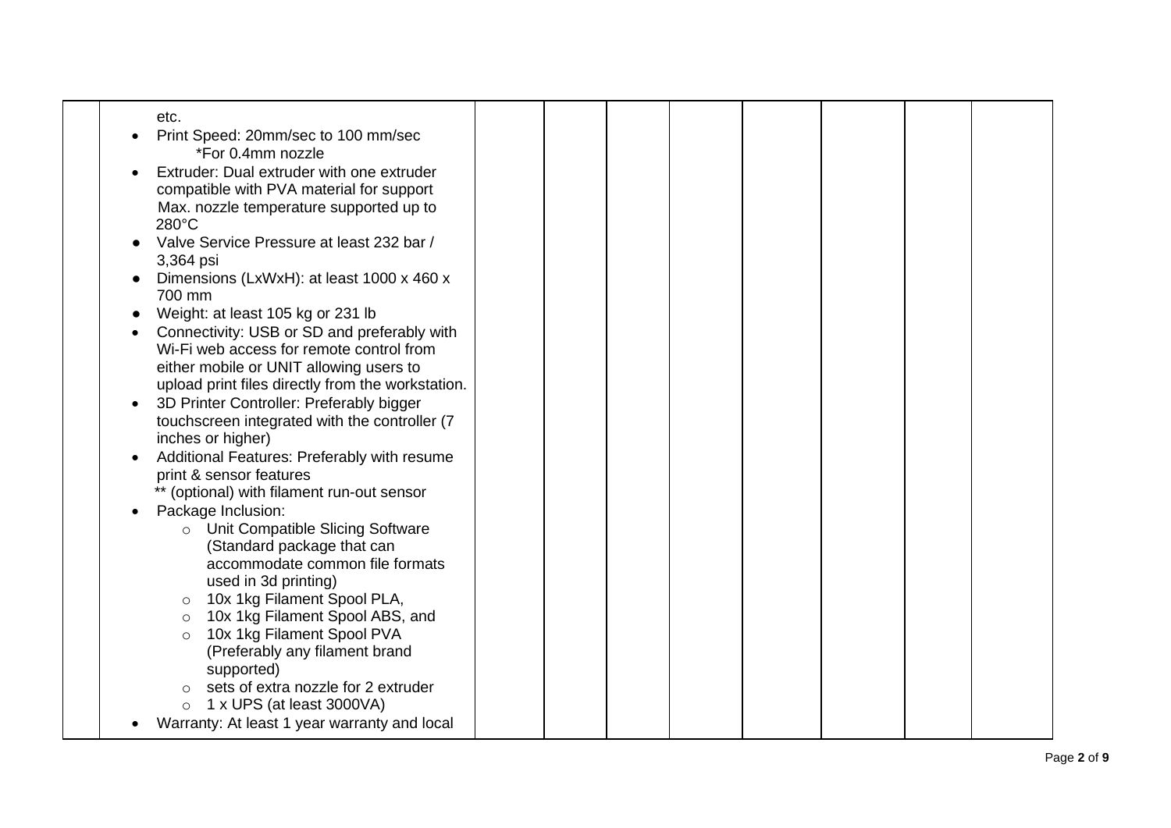| etc.<br>Print Speed: 20mm/sec to 100 mm/sec<br>*For 0.4mm nozzle<br>Extruder: Dual extruder with one extruder                            |  |  |  |
|------------------------------------------------------------------------------------------------------------------------------------------|--|--|--|
| compatible with PVA material for support<br>Max. nozzle temperature supported up to<br>280°C                                             |  |  |  |
| Valve Service Pressure at least 232 bar /<br>3,364 psi                                                                                   |  |  |  |
| Dimensions (LxWxH): at least 1000 x 460 x<br>700 mm                                                                                      |  |  |  |
| Weight: at least 105 kg or 231 lb<br>Connectivity: USB or SD and preferably with                                                         |  |  |  |
| Wi-Fi web access for remote control from<br>either mobile or UNIT allowing users to<br>upload print files directly from the workstation. |  |  |  |
| 3D Printer Controller: Preferably bigger<br>touchscreen integrated with the controller (7<br>inches or higher)                           |  |  |  |
| Additional Features: Preferably with resume<br>print & sensor features<br>** (optional) with filament run-out sensor                     |  |  |  |
| Package Inclusion:<br>Unit Compatible Slicing Software<br>$\circ$                                                                        |  |  |  |
| (Standard package that can<br>accommodate common file formats<br>used in 3d printing)                                                    |  |  |  |
| 10x 1kg Filament Spool PLA,<br>$\circ$<br>10x 1kg Filament Spool ABS, and<br>$\circ$                                                     |  |  |  |
| 10x 1kg Filament Spool PVA<br>$\circ$<br>(Preferably any filament brand<br>supported)                                                    |  |  |  |
| sets of extra nozzle for 2 extruder<br>$\circ$<br>1 x UPS (at least 3000VA)<br>$\circ$                                                   |  |  |  |
| Warranty: At least 1 year warranty and local                                                                                             |  |  |  |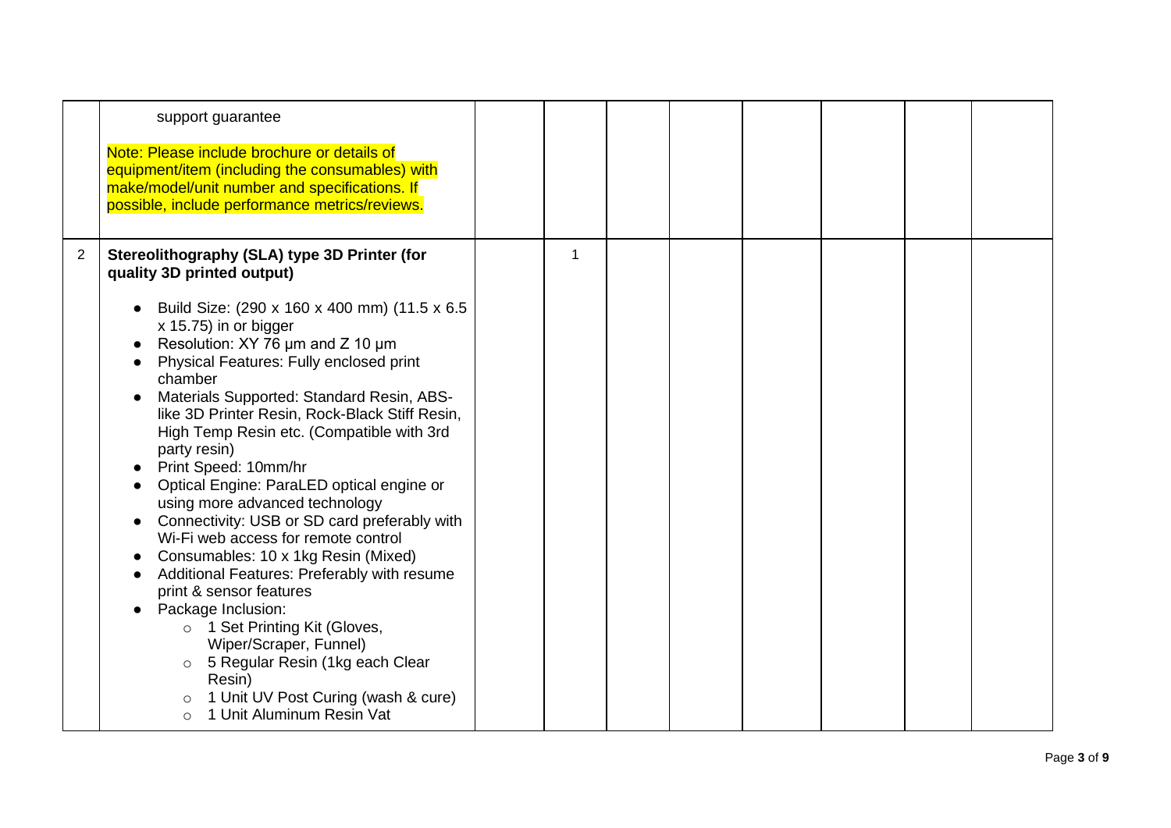|   | support guarantee                                                                                                                                                                                                                                                                                                                                                                                                                                                                                                                                                                                                                                                                                                                                                                                                                                                      |   |  |  |  |
|---|------------------------------------------------------------------------------------------------------------------------------------------------------------------------------------------------------------------------------------------------------------------------------------------------------------------------------------------------------------------------------------------------------------------------------------------------------------------------------------------------------------------------------------------------------------------------------------------------------------------------------------------------------------------------------------------------------------------------------------------------------------------------------------------------------------------------------------------------------------------------|---|--|--|--|
|   | Note: Please include brochure or details of<br>equipment/item (including the consumables) with<br>make/model/unit number and specifications. If<br>possible, include performance metrics/reviews.                                                                                                                                                                                                                                                                                                                                                                                                                                                                                                                                                                                                                                                                      |   |  |  |  |
| 2 | Stereolithography (SLA) type 3D Printer (for<br>quality 3D printed output)                                                                                                                                                                                                                                                                                                                                                                                                                                                                                                                                                                                                                                                                                                                                                                                             | 1 |  |  |  |
|   | • Build Size: (290 x 160 x 400 mm) (11.5 x 6.5<br>x 15.75) in or bigger<br>Resolution: XY 76 um and Z 10 um<br>Physical Features: Fully enclosed print<br>chamber<br>Materials Supported: Standard Resin, ABS-<br>like 3D Printer Resin, Rock-Black Stiff Resin,<br>High Temp Resin etc. (Compatible with 3rd<br>party resin)<br>Print Speed: 10mm/hr<br>Optical Engine: ParaLED optical engine or<br>using more advanced technology<br>Connectivity: USB or SD card preferably with<br>Wi-Fi web access for remote control<br>Consumables: 10 x 1kg Resin (Mixed)<br>Additional Features: Preferably with resume<br>print & sensor features<br>Package Inclusion:<br>o 1 Set Printing Kit (Gloves,<br>Wiper/Scraper, Funnel)<br>o 5 Regular Resin (1kg each Clear<br>Resin)<br>1 Unit UV Post Curing (wash & cure)<br>$\circ$<br>1 Unit Aluminum Resin Vat<br>$\circ$ |   |  |  |  |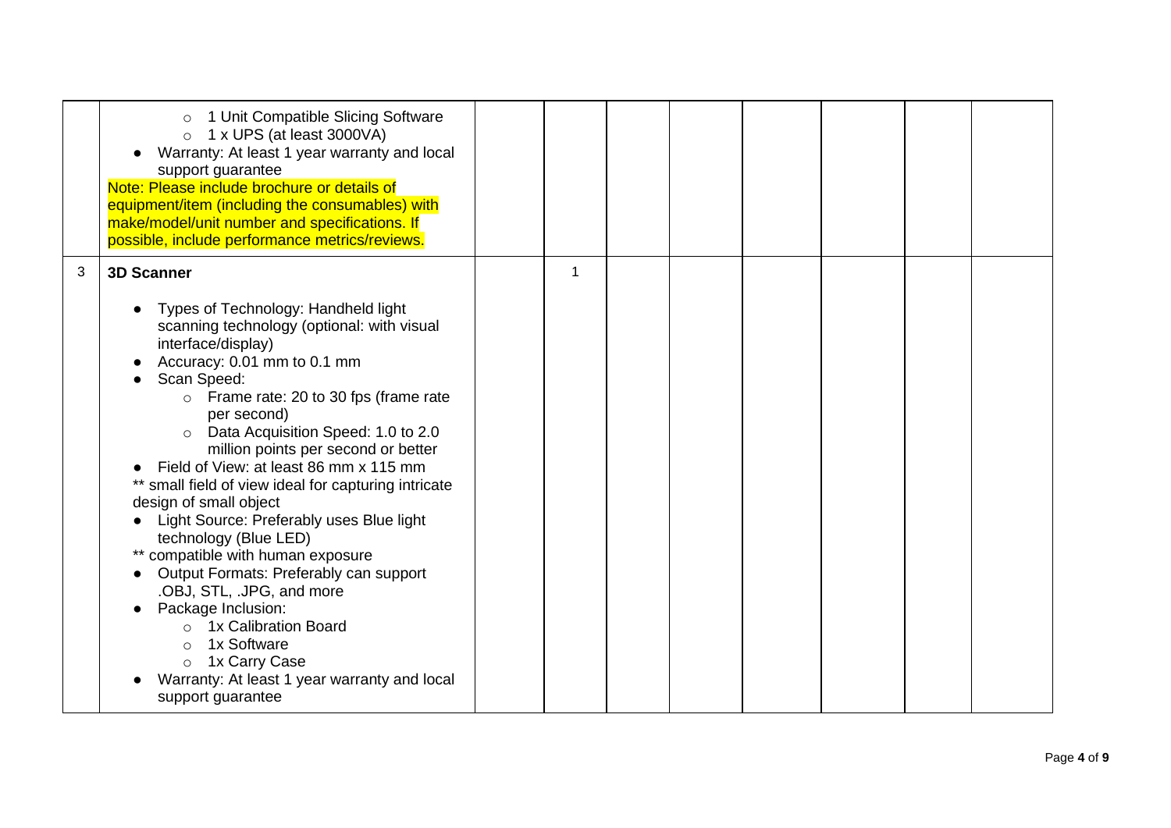|   | 1 Unit Compatible Slicing Software<br>1 x UPS (at least 3000VA)<br>$\circ$<br>Warranty: At least 1 year warranty and local<br>support guarantee<br>Note: Please include brochure or details of<br>equipment/item (including the consumables) with<br>make/model/unit number and specifications. If<br>possible, include performance metrics/reviews.                                                                                                                                                                                                                                                                                                                                                                                                                                                              |              |  |  |  |
|---|-------------------------------------------------------------------------------------------------------------------------------------------------------------------------------------------------------------------------------------------------------------------------------------------------------------------------------------------------------------------------------------------------------------------------------------------------------------------------------------------------------------------------------------------------------------------------------------------------------------------------------------------------------------------------------------------------------------------------------------------------------------------------------------------------------------------|--------------|--|--|--|
| 3 | <b>3D Scanner</b><br>Types of Technology: Handheld light<br>scanning technology (optional: with visual<br>interface/display)<br>Accuracy: 0.01 mm to 0.1 mm<br>Scan Speed:<br>Frame rate: 20 to 30 fps (frame rate<br>$\circ$<br>per second)<br>Data Acquisition Speed: 1.0 to 2.0<br>$\circ$<br>million points per second or better<br>Field of View: at least 86 mm x 115 mm<br>** small field of view ideal for capturing intricate<br>design of small object<br>Light Source: Preferably uses Blue light<br>technology (Blue LED)<br>** compatible with human exposure<br>Output Formats: Preferably can support<br>.OBJ, STL, .JPG, and more<br>Package Inclusion:<br>1x Calibration Board<br>1x Software<br>$\circ$<br>o 1x Carry Case<br>Warranty: At least 1 year warranty and local<br>support guarantee | $\mathbf{1}$ |  |  |  |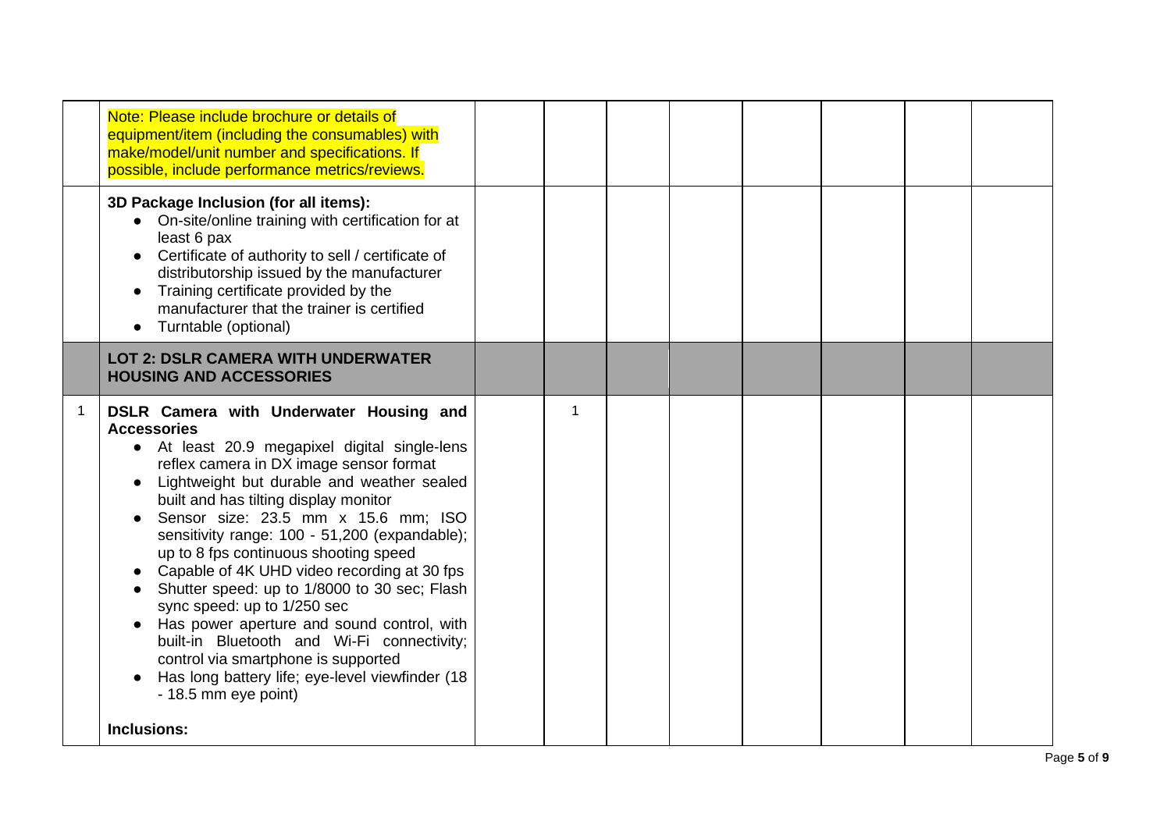| Note: Please include brochure or details of<br>equipment/item (including the consumables) with<br>make/model/unit number and specifications. If<br>possible, include performance metrics/reviews.                                                                                                                                                                                                                                                                                                                                                                                                                                                                                                                                             |   |  |  |  |
|-----------------------------------------------------------------------------------------------------------------------------------------------------------------------------------------------------------------------------------------------------------------------------------------------------------------------------------------------------------------------------------------------------------------------------------------------------------------------------------------------------------------------------------------------------------------------------------------------------------------------------------------------------------------------------------------------------------------------------------------------|---|--|--|--|
| 3D Package Inclusion (for all items):<br>On-site/online training with certification for at<br>least 6 pax<br>Certificate of authority to sell / certificate of<br>distributorship issued by the manufacturer<br>Training certificate provided by the<br>manufacturer that the trainer is certified<br>Turntable (optional)                                                                                                                                                                                                                                                                                                                                                                                                                    |   |  |  |  |
| <b>LOT 2: DSLR CAMERA WITH UNDERWATER</b><br><b>HOUSING AND ACCESSORIES</b>                                                                                                                                                                                                                                                                                                                                                                                                                                                                                                                                                                                                                                                                   |   |  |  |  |
| DSLR Camera with Underwater Housing and<br><b>Accessories</b><br>• At least 20.9 megapixel digital single-lens<br>reflex camera in DX image sensor format<br>Lightweight but durable and weather sealed<br>built and has tilting display monitor<br>Sensor size: 23.5 mm x 15.6 mm; ISO<br>sensitivity range: 100 - 51,200 (expandable);<br>up to 8 fps continuous shooting speed<br>Capable of 4K UHD video recording at 30 fps<br>Shutter speed: up to 1/8000 to 30 sec; Flash<br>sync speed: up to 1/250 sec<br>Has power aperture and sound control, with<br>built-in Bluetooth and Wi-Fi connectivity;<br>control via smartphone is supported<br>Has long battery life; eye-level viewfinder (18)<br>- 18.5 mm eye point)<br>Inclusions: | 1 |  |  |  |
|                                                                                                                                                                                                                                                                                                                                                                                                                                                                                                                                                                                                                                                                                                                                               |   |  |  |  |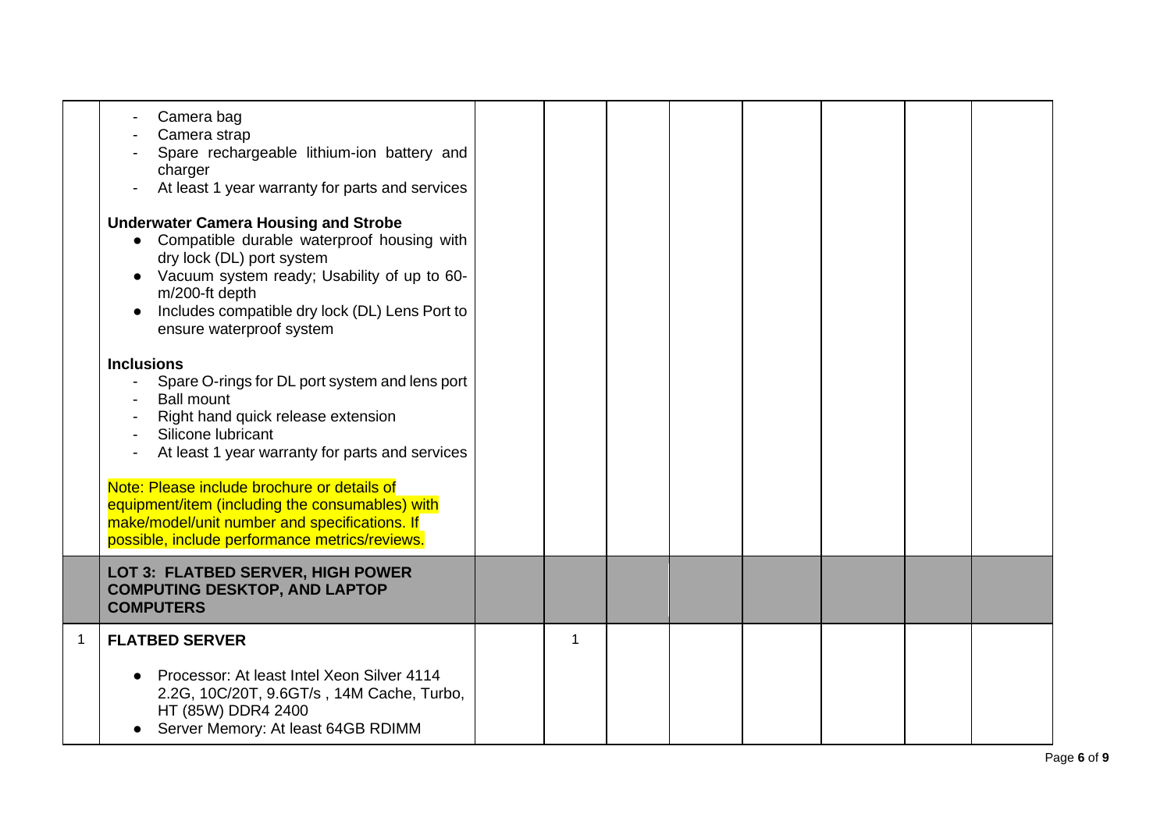|                | Camera bag<br>Camera strap<br>Spare rechargeable lithium-ion battery and<br>charger<br>At least 1 year warranty for parts and services<br><b>Underwater Camera Housing and Strobe</b><br>• Compatible durable waterproof housing with<br>dry lock (DL) port system<br>Vacuum system ready; Usability of up to 60-<br>m/200-ft depth<br>Includes compatible dry lock (DL) Lens Port to<br>ensure waterproof system<br><b>Inclusions</b><br>Spare O-rings for DL port system and lens port<br><b>Ball mount</b><br>Right hand quick release extension<br>Silicone lubricant<br>At least 1 year warranty for parts and services<br>Note: Please include brochure or details of<br>equipment/item (including the consumables) with<br>make/model/unit number and specifications. If<br>possible, include performance metrics/reviews. |   |  |  |  |
|----------------|-----------------------------------------------------------------------------------------------------------------------------------------------------------------------------------------------------------------------------------------------------------------------------------------------------------------------------------------------------------------------------------------------------------------------------------------------------------------------------------------------------------------------------------------------------------------------------------------------------------------------------------------------------------------------------------------------------------------------------------------------------------------------------------------------------------------------------------|---|--|--|--|
|                | LOT 3: FLATBED SERVER, HIGH POWER<br><b>COMPUTING DESKTOP, AND LAPTOP</b><br><b>COMPUTERS</b>                                                                                                                                                                                                                                                                                                                                                                                                                                                                                                                                                                                                                                                                                                                                     |   |  |  |  |
| $\overline{1}$ | <b>FLATBED SERVER</b><br>Processor: At least Intel Xeon Silver 4114                                                                                                                                                                                                                                                                                                                                                                                                                                                                                                                                                                                                                                                                                                                                                               | 1 |  |  |  |
|                | 2.2G, 10C/20T, 9.6GT/s, 14M Cache, Turbo,<br>HT (85W) DDR4 2400<br>Server Memory: At least 64GB RDIMM                                                                                                                                                                                                                                                                                                                                                                                                                                                                                                                                                                                                                                                                                                                             |   |  |  |  |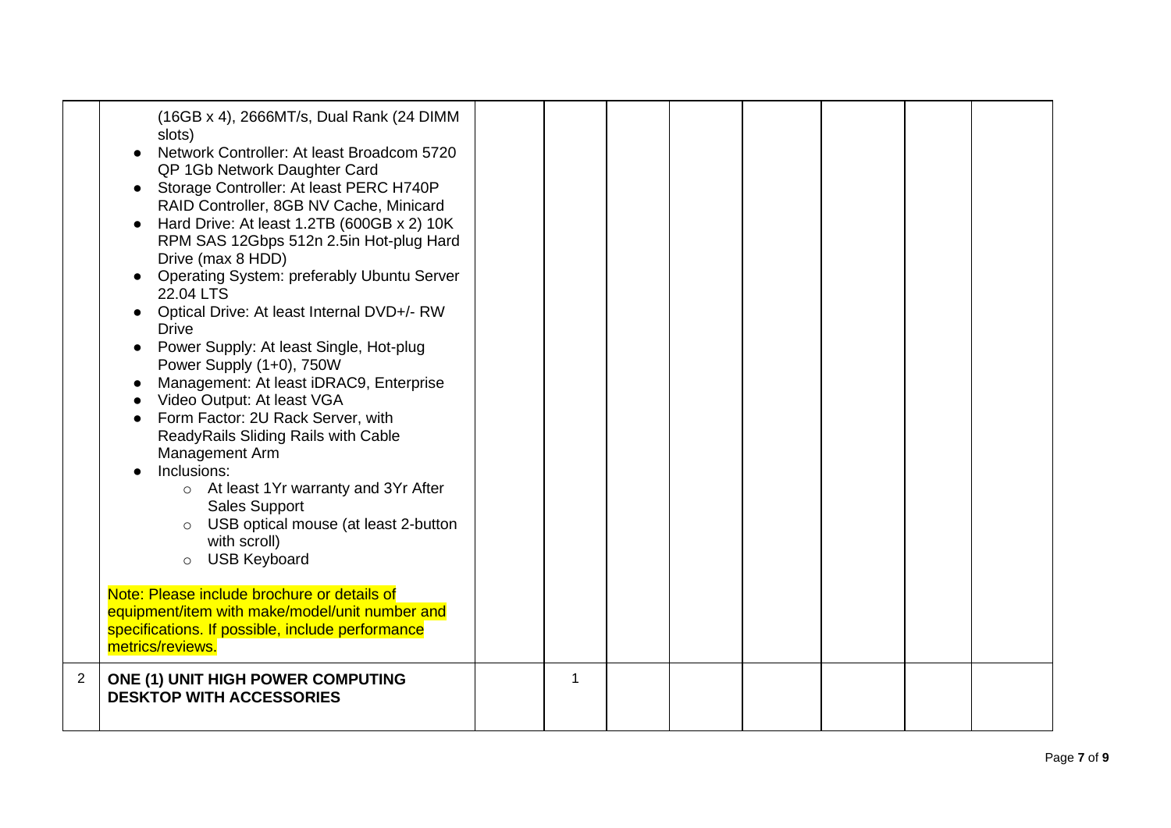|                | (16GB x 4), 2666MT/s, Dual Rank (24 DIMM<br>slots)<br>Network Controller: At least Broadcom 5720<br>QP 1Gb Network Daughter Card<br>Storage Controller: At least PERC H740P<br>RAID Controller, 8GB NV Cache, Minicard<br>Hard Drive: At least 1.2TB (600GB x 2) 10K<br>RPM SAS 12Gbps 512n 2.5in Hot-plug Hard<br>Drive (max 8 HDD)<br>• Operating System: preferably Ubuntu Server<br>22.04 LTS<br>Optical Drive: At least Internal DVD+/- RW<br><b>Drive</b><br>Power Supply: At least Single, Hot-plug<br>Power Supply (1+0), 750W<br>Management: At least iDRAC9, Enterprise<br>Video Output: At least VGA<br>Form Factor: 2U Rack Server, with<br>ReadyRails Sliding Rails with Cable<br>Management Arm<br>Inclusions:<br>o At least 1Yr warranty and 3Yr After<br><b>Sales Support</b><br>o USB optical mouse (at least 2-button<br>with scroll)<br><b>USB Keyboard</b><br>$\circ$<br>Note: Please include brochure or details of<br>equipment/item with make/model/unit number and<br>specifications. If possible, include performance<br>metrics/reviews. |   |  |  |  |
|----------------|--------------------------------------------------------------------------------------------------------------------------------------------------------------------------------------------------------------------------------------------------------------------------------------------------------------------------------------------------------------------------------------------------------------------------------------------------------------------------------------------------------------------------------------------------------------------------------------------------------------------------------------------------------------------------------------------------------------------------------------------------------------------------------------------------------------------------------------------------------------------------------------------------------------------------------------------------------------------------------------------------------------------------------------------------------------------|---|--|--|--|
| $\overline{2}$ | <b>ONE (1) UNIT HIGH POWER COMPUTING</b><br><b>DESKTOP WITH ACCESSORIES</b>                                                                                                                                                                                                                                                                                                                                                                                                                                                                                                                                                                                                                                                                                                                                                                                                                                                                                                                                                                                        | 1 |  |  |  |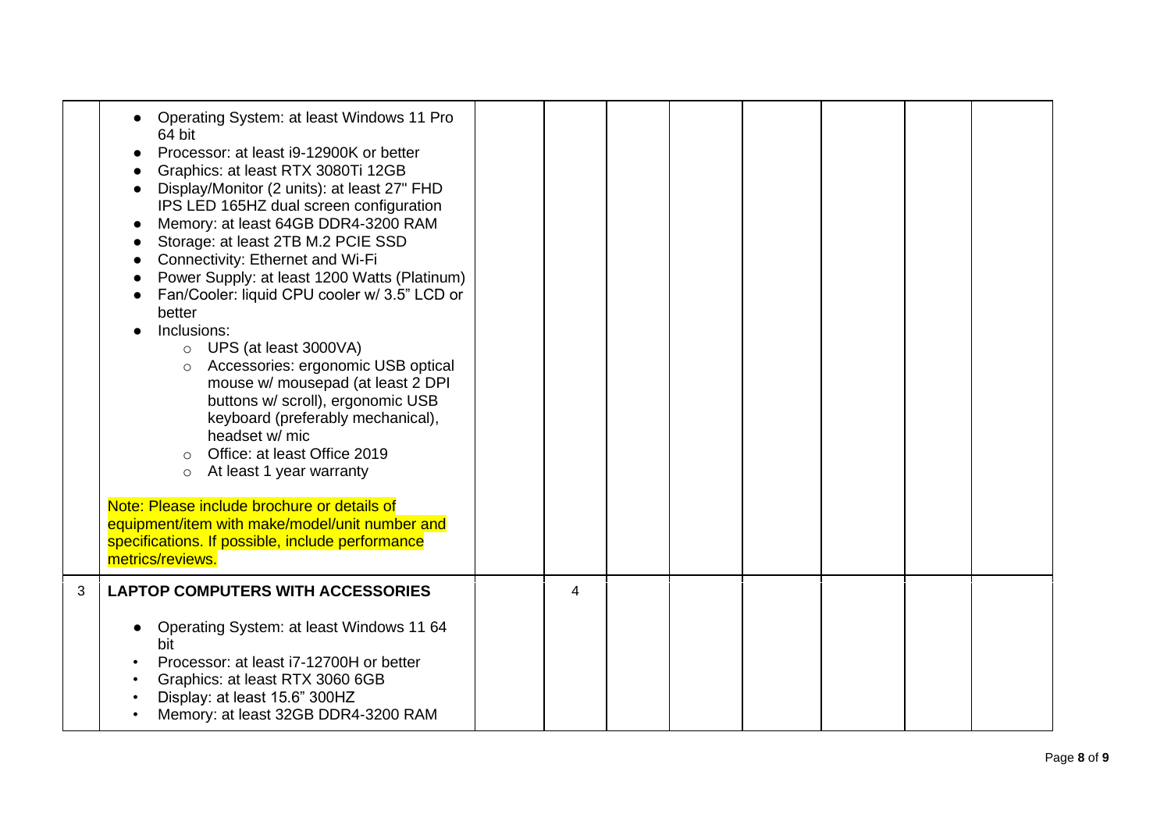|   | Operating System: at least Windows 11 Pro<br>64 bit<br>Processor: at least i9-12900K or better<br>Graphics: at least RTX 3080Ti 12GB<br>Display/Monitor (2 units): at least 27" FHD<br>IPS LED 165HZ dual screen configuration<br>Memory: at least 64GB DDR4-3200 RAM<br>Storage: at least 2TB M.2 PCIE SSD<br>Connectivity: Ethernet and Wi-Fi<br>Power Supply: at least 1200 Watts (Platinum)<br>Fan/Cooler: liquid CPU cooler w/ 3.5" LCD or<br>better<br>Inclusions:<br>$\circ$ UPS (at least 3000VA)<br>Accessories: ergonomic USB optical<br>$\circ$<br>mouse w/ mousepad (at least 2 DPI<br>buttons w/ scroll), ergonomic USB<br>keyboard (preferably mechanical),<br>headset w/ mic<br>Office: at least Office 2019<br>At least 1 year warranty<br>$\circ$<br>Note: Please include brochure or details of<br>equipment/item with make/model/unit number and<br>specifications. If possible, include performance<br>metrics/reviews. |   |  |  |  |  |
|---|---------------------------------------------------------------------------------------------------------------------------------------------------------------------------------------------------------------------------------------------------------------------------------------------------------------------------------------------------------------------------------------------------------------------------------------------------------------------------------------------------------------------------------------------------------------------------------------------------------------------------------------------------------------------------------------------------------------------------------------------------------------------------------------------------------------------------------------------------------------------------------------------------------------------------------------------|---|--|--|--|--|
| 3 | <b>LAPTOP COMPUTERS WITH ACCESSORIES</b><br>Operating System: at least Windows 11 64<br>bit<br>Processor: at least i7-12700H or better<br>Graphics: at least RTX 3060 6GB<br>Display: at least 15.6" 300HZ<br>Memory: at least 32GB DDR4-3200 RAM                                                                                                                                                                                                                                                                                                                                                                                                                                                                                                                                                                                                                                                                                           | 4 |  |  |  |  |